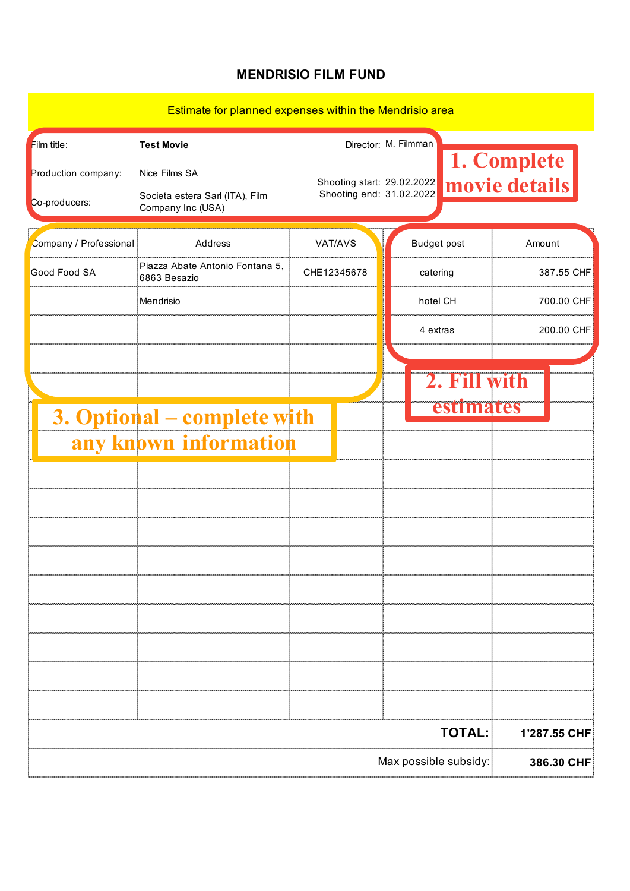## **MENDRISIO FILM FUND**

## Estimate for planned expenses within the Mendrisio area

| Film title:                 | <b>Test Movie</b>                                    |                            | Director: M. Filmman |                      |                              |
|-----------------------------|------------------------------------------------------|----------------------------|----------------------|----------------------|------------------------------|
| Production company:         | Nice Films SA                                        | Shooting start: 29.02.2022 |                      |                      | 1. Complete<br>movie details |
| Co-producers:               | Societa estera Sarl (ITA), Film<br>Company Inc (USA) | Shooting end: 31.02.2022   |                      |                      |                              |
| Company / Professional      | Address                                              | VAT/AVS                    |                      | <b>Budget post</b>   | Amount                       |
| Good Food SA                | Piazza Abate Antonio Fontana 5,<br>6863 Besazio      | CHE12345678                |                      | catering             | 387.55 CHF                   |
|                             | Mendrisio                                            |                            |                      | hotel CH             | 700.00 CHF                   |
|                             |                                                      |                            |                      | 4 extras             | 200.00 CHF                   |
|                             |                                                      |                            |                      |                      |                              |
|                             |                                                      |                            |                      | 2. Fill<br>estimates |                              |
| 3. Optional - complete with |                                                      |                            |                      |                      |                              |
|                             | any known information                                |                            |                      |                      |                              |
|                             |                                                      |                            |                      |                      |                              |
|                             |                                                      |                            |                      |                      |                              |
|                             |                                                      |                            |                      |                      |                              |
|                             |                                                      |                            |                      |                      |                              |
|                             |                                                      |                            |                      |                      |                              |
|                             |                                                      |                            |                      |                      |                              |
|                             |                                                      |                            |                      |                      |                              |
|                             |                                                      |                            |                      |                      |                              |
|                             | <b>TOTAL:</b><br>1'287.55 CHF                        |                            |                      |                      |                              |
| Max possible subsidy:       |                                                      |                            |                      |                      | 386.30 CHF                   |